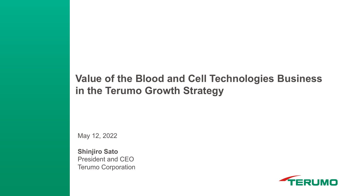#### **Value of the Blood and Cell Technologies Business in the Terumo Growth Strategy**

May 12, 2022

**Shinjiro Sato** President and CEO Terumo Corporation

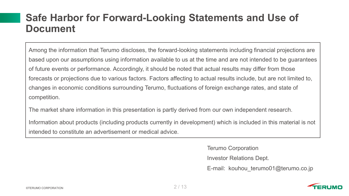#### **Safe Harbor for Forward-Looking Statements and Use of Document**

Among the information that Terumo discloses, the forward-looking statements including financial projections are based upon our assumptions using information available to us at the time and are not intended to be guarantees of future events or performance. Accordingly, it should be noted that actual results may differ from those forecasts or projections due to various factors. Factors affecting to actual results include, but are not limited to, changes in economic conditions surrounding Terumo, fluctuations of foreign exchange rates, and state of competition.

The market share information in this presentation is partly derived from our own independent research.

Information about products (including products currently in development) which is included in this material is not intended to constitute an advertisement or medical advice.

Terumo Corporation

Investor Relations Dept.

E-mail: kouhou terumo01@terumo.co.jp

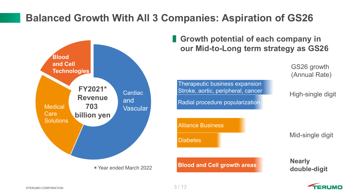### **Balanced Growth With All 3 Companies: Aspiration of GS26**



**Growth potential of each company in our Mid-to-Long term strategy as GS26**

> GS26 growth (Annual Rate)

Therapeutic business expansion Stroke, aortic, peripheral, cancer Radial procedure popularization

High-single digit

Alliance Business **Diabetes** 

**Blood and Cell growth areas**

Mid-single digit

**Nearly double-digit**

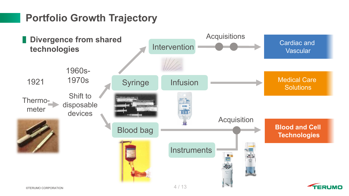#### **Portfolio Growth Trajectory**

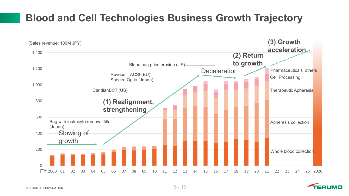### **Blood and Cell Technologies Business Growth Trajectory**



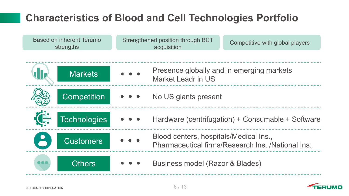# **Characteristics of Blood and Cell Technologies Portfolio**



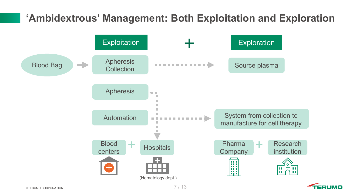### **'Ambidextrous' Management: Both Exploitation and Exploration**



**FRI IMO**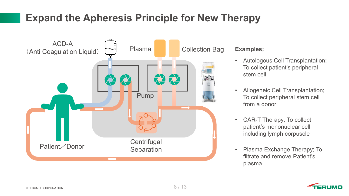## **Expand the Apheresis Principle for New Therapy**



#### **Examples;**

- Autologous Cell Transplantation; To collect patient's peripheral stem cell
- Allogeneic Cell Transplantation; To collect peripheral stem cell from a donor
- CAR-T Therapy; To collect patient's mononuclear cell including lymph corpuscle
- Plasma Exchange Therapy; To filtrate and remove Patient's plasma

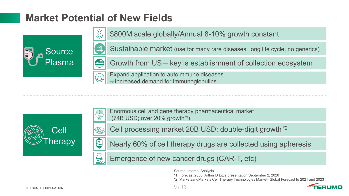### **Market Potential of New Fields**





\$800M scale globally/Annual 8-10% growth constant

Sustainable market (use for many rare diseases, long life cycle, no generics)

Growth from  $US - key$  is establishment of collection ecosystem

Expand application to autoimmune diseases Increased demand for immunoglobulins





Enormous cell and gene therapy pharmaceutical market (74B USD; over 20% growth\*1)

Cell processing market 20B USD; double-digit growth \*2

Nearly 60% of cell therapy drugs are collected using apheresis

Emergence of new cancer drugs (CAR-T, etc)

Source: Internal Analysis

\*1; Forecast 2030, Arthur D Little presentation September 2, 2020

\*2; MarketsandMarkets Cell Therapy Technologies Market- Global Forecast to 2021 and 2023

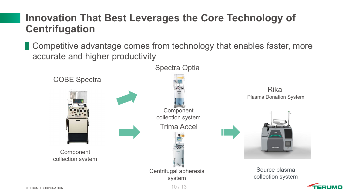#### **Innovation That Best Leverages the Core Technology of Centrifugation**

**Competitive advantage comes from technology that enables faster, more** accurate and higher productivity

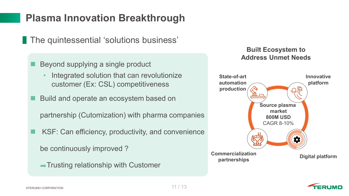### **Plasma Innovation Breakthrough**

**The quintessential 'solutions business'** 

- Beyond supplying a single product
	- Integrated solution that can revolutionize customer (Ex: CSL) competitiveness
- Build and operate an ecosystem based on

partnership (Cutomization) with pharma companies

KSF: Can efficiency, productivity, and convenience

be continuously improved ?

 $\rightarrow$  Trusting relationship with Customer

#### **Built Ecosystem to Address Unmet Needs**



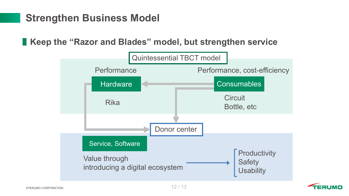### **Strengthen Business Model**

**Keep the "Razor and Blades" model, but strengthen service**



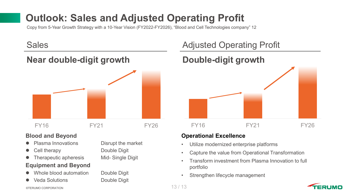# **Outlook: Sales and Adjusted Operating Profit**

Copy from 5-Year Growth Strategy with a 10-Year Vision (FY2022-FY2026), "Blood and Cell Technologies company" 12

#### **Near double-digit growth bouble-digit growth**



#### **Blood and Beyond**

- Plasma Innovations Disrupt the market
- 
- Therapeutic apheresis Mid- Single Digit

#### **Equipment and Beyond**

- Whole blood automation Double Digit
- Veda Solutions **Double Digit**

Cell therapy Double Digit

#### Sales **Adjusted Operating Profit**



#### **Operational Excellence**

- Utilize modernized enterprise platforms
- Capture the value from Operational Transformation
- Transform investment from Plasma Innovation to full portfolio
- Strengthen lifecycle management

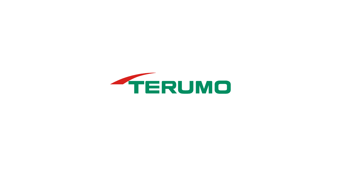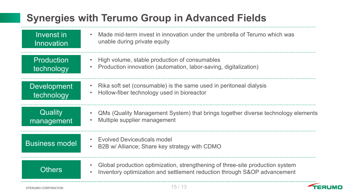# **Synergies with Terumo Group in Advanced Fields**

| Invenst in<br><b>Innovation</b>  | Made mid-term invest in innovation under the umbrella of Terumo which was<br>$\bullet$<br>unable during private equity                                                              |
|----------------------------------|-------------------------------------------------------------------------------------------------------------------------------------------------------------------------------------|
| <b>Production</b><br>technology  | High volume, stable production of consumables<br>$\bullet$<br>Production innovation (automation, labor-saving, digitalization)<br>$\bullet$                                         |
| <b>Development</b><br>technology | Rika soft set (consumable) is the same used in peritoneal dialysis<br>$\bullet$<br>Hollow-fiber technology used in bioreactor<br>$\bullet$                                          |
| Quality<br>management            | QMs (Quality Management System) that brings together diverse technology elements<br>$\bullet$<br>Multiple supplier management<br>$\bullet$                                          |
| <b>Business model</b>            | <b>Evolved Deviceuticals model</b><br>B2B w/ Alliance; Share key strategy with CDMO<br>$\bullet$                                                                                    |
| <b>Others</b>                    | Global production optimization, strengthening of three-site production system<br>$\bullet$<br>Inventory optimization and settlement reduction through S&OP advancement<br>$\bullet$ |

20I I